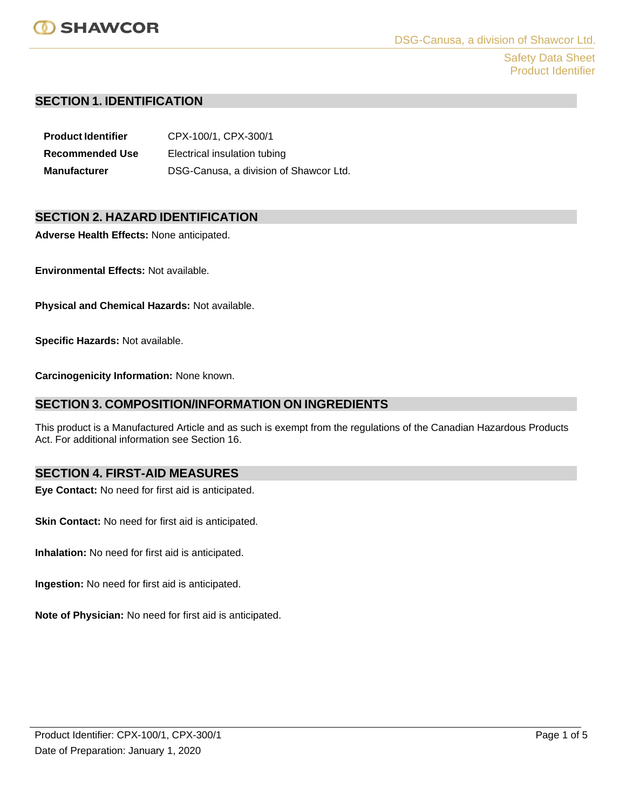

Safety Data Sheet Product Identifier

## **SECTION 1. IDENTIFICATION**

**Product Identifier** CPX-100/1, CPX-300/1 **Recommended Use** Electrical insulation tubing **Manufacturer** DSG-Canusa, a division of Shawcor Ltd.

## **SECTION 2. HAZARD IDENTIFICATION**

**Adverse Health Effects:** None anticipated.

**Environmental Effects:** Not available.

**Physical and Chemical Hazards:** Not available.

**Specific Hazards:** Not available.

**Carcinogenicity Information:** None known.

## **SECTION 3. COMPOSITION/INFORMATION ON INGREDIENTS**

This product is a Manufactured Article and as such is exempt from the regulations of the Canadian Hazardous Products Act. For additional information see Section 16.

## **SECTION 4. FIRST-AID MEASURES**

**Eye Contact:** No need for first aid is anticipated.

**Skin Contact:** No need for first aid is anticipated.

**Inhalation:** No need for first aid is anticipated.

**Ingestion:** No need for first aid is anticipated.

**Note of Physician:** No need for first aid is anticipated.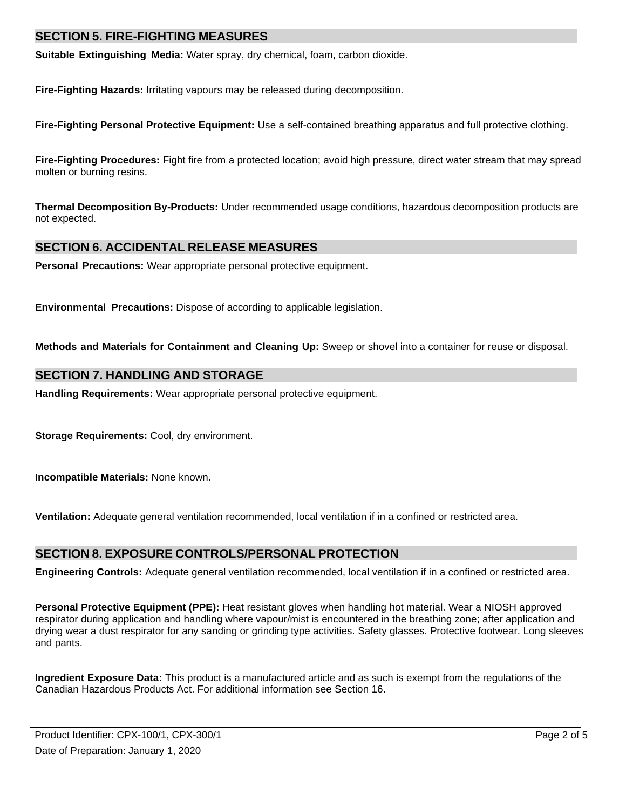## **SECTION 5. FIRE-FIGHTING MEASURES**

**Suitable Extinguishing Media:** Water spray, dry chemical, foam, carbon dioxide.

**Fire-Fighting Hazards:** Irritating vapours may be released during decomposition.

**Fire-Fighting Personal Protective Equipment:** Use a self-contained breathing apparatus and full protective clothing.

**Fire-Fighting Procedures:** Fight fire from a protected location; avoid high pressure, direct water stream that may spread molten or burning resins.

**Thermal Decomposition By-Products:** Under recommended usage conditions, hazardous decomposition products are not expected.

## **SECTION 6. ACCIDENTAL RELEASE MEASURES**

**Personal Precautions:** Wear appropriate personal protective equipment.

**Environmental Precautions:** Dispose of according to applicable legislation.

**Methods and Materials for Containment and Cleaning Up:** Sweep or shovel into a container for reuse or disposal.

## **SECTION 7. HANDLING AND STORAGE**

**Handling Requirements:** Wear appropriate personal protective equipment.

**Storage Requirements:** Cool, dry environment.

**Incompatible Materials:** None known.

**Ventilation:** Adequate general ventilation recommended, local ventilation if in a confined or restricted area.

## **SECTION 8. EXPOSURE CONTROLS/PERSONAL PROTECTION**

**Engineering Controls:** Adequate general ventilation recommended, local ventilation if in a confined or restricted area.

**Personal Protective Equipment (PPE):** Heat resistant gloves when handling hot material. Wear a NIOSH approved respirator during application and handling where vapour/mist is encountered in the breathing zone; after application and drying wear a dust respirator for any sanding or grinding type activities. Safety glasses. Protective footwear. Long sleeves and pants.

**Ingredient Exposure Data:** This product is a manufactured article and as such is exempt from the regulations of the Canadian Hazardous Products Act. For additional information see Section 16.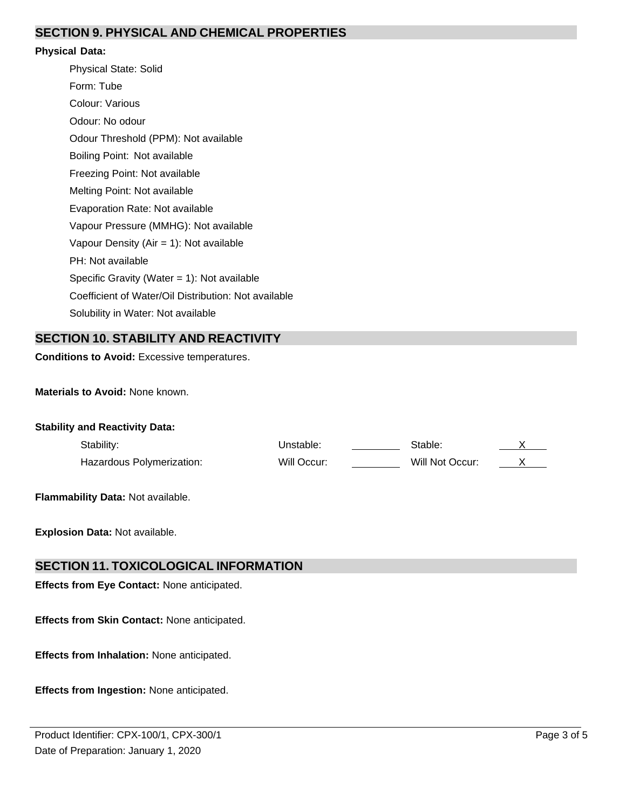# **SECTION 9. PHYSICAL AND CHEMICAL PROPERTIES**

#### **Physical Data:**

Physical State: Solid Form: Tube Colour: Various Odour: No odour Odour Threshold (PPM): Not available Boiling Point: Not available Freezing Point: Not available Melting Point: Not available Evaporation Rate: Not available Vapour Pressure (MMHG): Not available Vapour Density (Air = 1): Not available PH: Not available Specific Gravity (Water = 1): Not available Coefficient of Water/Oil Distribution: Not available Solubility in Water: Not available

# **SECTION 10. STABILITY AND REACTIVITY**

**Conditions to Avoid:** Excessive temperatures.

**Materials to Avoid:** None known.

| <b>Stability and Reactivity Data:</b> |                           |             |                 |  |
|---------------------------------------|---------------------------|-------------|-----------------|--|
|                                       | Stability:                | Unstable:   | Stable:         |  |
|                                       | Hazardous Polymerization: | Will Occur: | Will Not Occur: |  |
|                                       |                           |             |                 |  |

**Flammability Data:** Not available.

**Explosion Data:** Not available.

### **SECTION 11. TOXICOLOGICAL INFORMATION**

**Effects from Eye Contact:** None anticipated.

**Effects from Skin Contact:** None anticipated.

**Effects from Inhalation:** None anticipated.

**Effects from Ingestion:** None anticipated.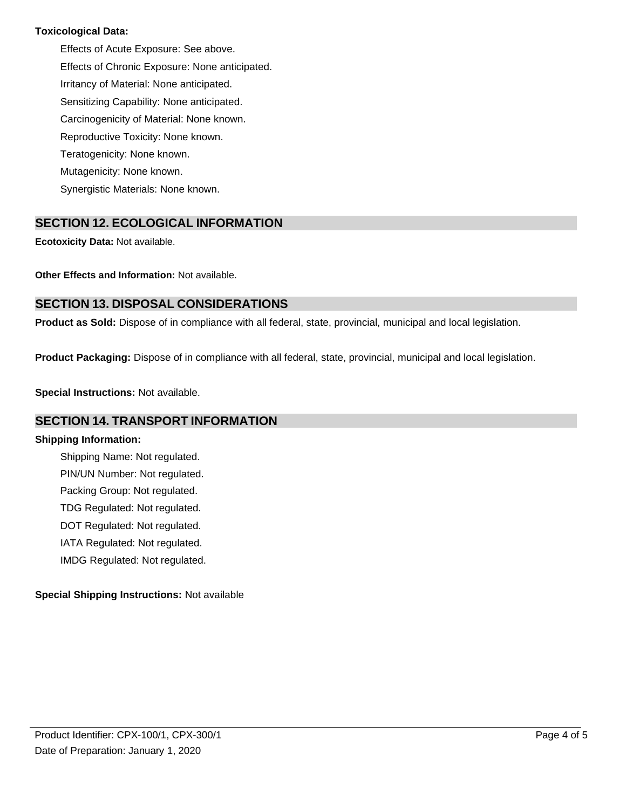### **Toxicological Data:**

Effects of Acute Exposure: See above. Effects of Chronic Exposure: None anticipated. Irritancy of Material: None anticipated. Sensitizing Capability: None anticipated. Carcinogenicity of Material: None known. Reproductive Toxicity: None known. Teratogenicity: None known. Mutagenicity: None known. Synergistic Materials: None known.

# **SECTION 12. ECOLOGICAL INFORMATION**

**Ecotoxicity Data:** Not available.

**Other Effects and Information:** Not available.

# **SECTION 13. DISPOSAL CONSIDERATIONS**

**Product as Sold:** Dispose of in compliance with all federal, state, provincial, municipal and local legislation.

**Product Packaging:** Dispose of in compliance with all federal, state, provincial, municipal and local legislation.

**Special Instructions:** Not available.

## **SECTION 14. TRANSPORT INFORMATION**

#### **Shipping Information:**

Shipping Name: Not regulated. PIN/UN Number: Not regulated. Packing Group: Not regulated. TDG Regulated: Not regulated. DOT Regulated: Not regulated. IATA Regulated: Not regulated. IMDG Regulated: Not regulated.

### **Special Shipping Instructions:** Not available